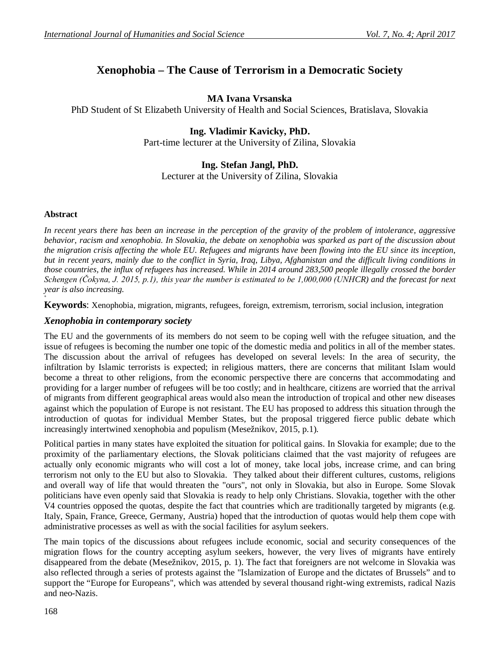# **Xenophobia – The Cause of Terrorism in a Democratic Society**

## **MA Ivana Vrsanska**

PhD Student of St Elizabeth University of Health and Social Sciences, Bratislava, Slovakia

# **Ing. Vladimir Kavicky, PhD.**

Part-time lecturer at the University of Zilina, Slovakia

## **Ing. Stefan Jangl, PhD.**

Lecturer at the University of Zilina, Slovakia

#### **Abstract**

**+**

*In recent years there has been an increase in the perception of the gravity of the problem of intolerance, aggressive behavior, racism and xenophobia. In Slovakia, the debate on xenophobia was sparked as part of the discussion about the migration crisis affecting the whole EU. Refugees and migrants have been flowing into the EU since its inception, but in recent years, mainly due to the conflict in Syria, Iraq, Libya, Afghanistan and the difficult living conditions in those countries, the influx of refugees has increased. While in 2014 around 283,500 people illegally crossed the border Schengen (Čokyna, J. 2015, p.1), this year the number is estimated to be 1,000,000 (UNHCR) and the forecast for next year is also increasing.*

**Keywords**: Xenophobia, migration, migrants, refugees, foreign, extremism, terrorism, social inclusion, integration

#### *Xenophobia in contemporary society*

The EU and the governments of its members do not seem to be coping well with the refugee situation, and the issue of refugees is becoming the number one topic of the domestic media and politics in all of the member states. The discussion about the arrival of refugees has developed on several levels: In the area of security, the infiltration by Islamic terrorists is expected; in religious matters, there are concerns that militant Islam would become a threat to other religions, from the economic perspective there are concerns that accommodating and providing for a larger number of refugees will be too costly; and in healthcare, citizens are worried that the arrival of migrants from different geographical areas would also mean the introduction of tropical and other new diseases against which the population of Europe is not resistant. The EU has proposed to address this situation through the introduction of quotas for individual Member States, but the proposal triggered fierce public debate which increasingly intertwined xenophobia and populism (Mesežnikov, 2015, p.1).

Political parties in many states have exploited the situation for political gains. In Slovakia for example; due to the proximity of the parliamentary elections, the Slovak politicians claimed that the vast majority of refugees are actually only economic migrants who will cost a lot of money, take local jobs, increase crime, and can bring terrorism not only to the EU but also to Slovakia. They talked about their different cultures, customs, religions and overall way of life that would threaten the "ours", not only in Slovakia, but also in Europe. Some Slovak politicians have even openly said that Slovakia is ready to help only Christians. Slovakia, together with the other V4 countries opposed the quotas, despite the fact that countries which are traditionally targeted by migrants (e.g. Italy, Spain, France, Greece, Germany, Austria) hoped that the introduction of quotas would help them cope with administrative processes as well as with the social facilities for asylum seekers.

The main topics of the discussions about refugees include economic, social and security consequences of the migration flows for the country accepting asylum seekers, however, the very lives of migrants have entirely disappeared from the debate (Mesežnikov, 2015, p. 1). The fact that foreigners are not welcome in Slovakia was also reflected through a series of protests against the "Islamization of Europe and the dictates of Brussels" and to support the "Europe for Europeans", which was attended by several thousand right-wing extremists, radical Nazis and neo-Nazis.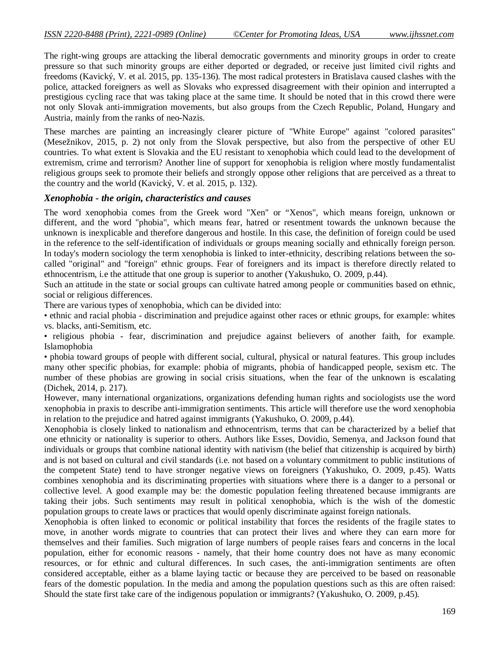The right-wing groups are attacking the liberal democratic governments and minority groups in order to create pressure so that such minority groups are either deported or degraded, or receive just limited civil rights and freedoms (Kavický, V. et al. 2015, pp. 135-136). The most radical protesters in Bratislava caused clashes with the police, attacked foreigners as well as Slovaks who expressed disagreement with their opinion and interrupted a prestigious cycling race that was taking place at the same time. It should be noted that in this crowd there were not only Slovak anti-immigration movements, but also groups from the Czech Republic, Poland, Hungary and Austria, mainly from the ranks of neo-Nazis.

These marches are painting an increasingly clearer picture of "White Europe" against "colored parasites" (Mesežnikov, 2015, p. 2) not only from the Slovak perspective, but also from the perspective of other EU countries. To what extent is Slovakia and the EU resistant to xenophobia which could lead to the development of extremism, crime and terrorism? Another line of support for xenophobia is religion where mostly fundamentalist religious groups seek to promote their beliefs and strongly oppose other religions that are perceived as a threat to the country and the world (Kavický, V. et al. 2015, p. 132).

#### *Xenophobia - the origin, characteristics and causes*

The word xenophobia comes from the Greek word "Xen" or "Xenos", which means foreign, unknown or different, and the word "phobia", which means fear, hatred or resentment towards the unknown because the unknown is inexplicable and therefore dangerous and hostile. In this case, the definition of foreign could be used in the reference to the self-identification of individuals or groups meaning socially and ethnically foreign person. In today's modern sociology the term xenophobia is linked to inter-ethnicity, describing relations between the socalled "original" and "foreign" ethnic groups. Fear of foreigners and its impact is therefore directly related to ethnocentrism, i.e the attitude that one group is superior to another (Yakushuko, O. 2009, p.44).

Such an attitude in the state or social groups can cultivate hatred among people or communities based on ethnic, social or religious differences.

There are various types of xenophobia, which can be divided into:

• ethnic and racial phobia - discrimination and prejudice against other races or ethnic groups, for example: whites vs. blacks, anti-Semitism, etc.

• religious phobia - fear, discrimination and prejudice against believers of another faith, for example. Islamophobia

• phobia toward groups of people with different social, cultural, physical or natural features. This group includes many other specific phobias, for example: phobia of migrants, phobia of handicapped people, sexism etc. The number of these phobias are growing in social crisis situations, when the fear of the unknown is escalating (Dichek, 2014, p. 217).

However, many international organizations, organizations defending human rights and sociologists use the word xenophobia in praxis to describe anti-immigration sentiments. This article will therefore use the word xenophobia in relation to the prejudice and hatred against immigrants (Yakushuko, O. 2009, p.44).

Xenophobia is closely linked to nationalism and ethnocentrism, terms that can be characterized by a belief that one ethnicity or nationality is superior to others. Authors like Esses, Dovidio, Semenya, and Jackson found that individuals or groups that combine national identity with nativism (the belief that citizenship is acquired by birth) and is not based on cultural and civil standards (i.e. not based on a voluntary commitment to public institutions of the competent State) tend to have stronger negative views on foreigners (Yakushuko, O. 2009, p.45). Watts combines xenophobia and its discriminating properties with situations where there is a danger to a personal or collective level. A good example may be: the domestic population feeling threatened because immigrants are taking their jobs. Such sentiments may result in political xenophobia, which is the wish of the domestic population groups to create laws or practices that would openly discriminate against foreign nationals.

Xenophobia is often linked to economic or political instability that forces the residents of the fragile states to move, in another words migrate to countries that can protect their lives and where they can earn more for themselves and their families. Such migration of large numbers of people raises fears and concerns in the local population, either for economic reasons - namely, that their home country does not have as many economic resources, or for ethnic and cultural differences. In such cases, the anti-immigration sentiments are often considered acceptable, either as a blame laying tactic or because they are perceived to be based on reasonable fears of the domestic population. In the media and among the population questions such as this are often raised: Should the state first take care of the indigenous population or immigrants? (Yakushuko, O. 2009, p.45).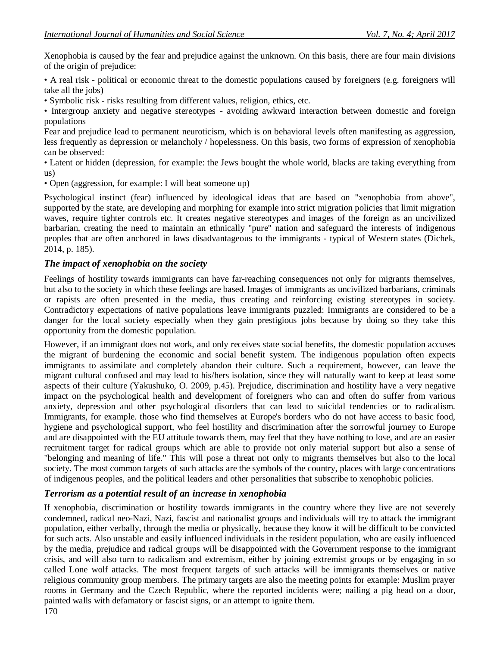Xenophobia is caused by the fear and prejudice against the unknown. On this basis, there are four main divisions of the origin of prejudice:

• A real risk - political or economic threat to the domestic populations caused by foreigners (e.g. foreigners will take all the jobs)

• Symbolic risk - risks resulting from different values, religion, ethics, etc.

• Intergroup anxiety and negative stereotypes - avoiding awkward interaction between domestic and foreign populations

Fear and prejudice lead to permanent neuroticism, which is on behavioral levels often manifesting as aggression, less frequently as depression or melancholy / hopelessness. On this basis, two forms of expression of xenophobia can be observed:

• Latent or hidden (depression, for example: the Jews bought the whole world, blacks are taking everything from us)

• Open (aggression, for example: I will beat someone up)

Psychological instinct (fear) influenced by ideological ideas that are based on "xenophobia from above", supported by the state, are developing and morphing for example into strict migration policies that limit migration waves, require tighter controls etc. It creates negative stereotypes and images of the foreign as an uncivilized barbarian, creating the need to maintain an ethnically "pure" nation and safeguard the interests of indigenous peoples that are often anchored in laws disadvantageous to the immigrants - typical of Western states (Dichek, 2014, p. 185).

## *The impact of xenophobia on the society*

Feelings of hostility towards immigrants can have far-reaching consequences not only for migrants themselves, but also to the society in which these feelings are based.Images of immigrants as uncivilized barbarians, criminals or rapists are often presented in the media, thus creating and reinforcing existing stereotypes in society. Contradictory expectations of native populations leave immigrants puzzled: Immigrants are considered to be a danger for the local society especially when they gain prestigious jobs because by doing so they take this opportunity from the domestic population.

However, if an immigrant does not work, and only receives state social benefits, the domestic population accuses the migrant of burdening the economic and social benefit system. The indigenous population often expects immigrants to assimilate and completely abandon their culture. Such a requirement, however, can leave the migrant cultural confused and may lead to his/hers isolation, since they will naturally want to keep at least some aspects of their culture (Yakushuko, O. 2009, p.45). Prejudice, discrimination and hostility have a very negative impact on the psychological health and development of foreigners who can and often do suffer from various anxiety, depression and other psychological disorders that can lead to suicidal tendencies or to radicalism. Immigrants, for example. those who find themselves at Europe's borders who do not have access to basic food, hygiene and psychological support, who feel hostility and discrimination after the sorrowful journey to Europe and are disappointed with the EU attitude towards them, may feel that they have nothing to lose, and are an easier recruitment target for radical groups which are able to provide not only material support but also a sense of "belonging and meaning of life." This will pose a threat not only to migrants themselves but also to the local society. The most common targets of such attacks are the symbols of the country, places with large concentrations of indigenous peoples, and the political leaders and other personalities that subscribe to xenophobic policies.

## *Terrorism as a potential result of an increase in xenophobia*

If xenophobia, discrimination or hostility towards immigrants in the country where they live are not severely condemned, radical neo-Nazi, Nazi, fascist and nationalist groups and individuals will try to attack the immigrant population, either verbally, through the media or physically, because they know it will be difficult to be convicted for such acts. Also unstable and easily influenced individuals in the resident population, who are easily influenced by the media, prejudice and radical groups will be disappointed with the Government response to the immigrant crisis, and will also turn to radicalism and extremism, either by joining extremist groups or by engaging in so called Lone wolf attacks. The most frequent targets of such attacks will be immigrants themselves or native religious community group members. The primary targets are also the meeting points for example: Muslim prayer rooms in Germany and the Czech Republic, where the reported incidents were; nailing a pig head on a door, painted walls with defamatory or fascist signs, or an attempt to ignite them.